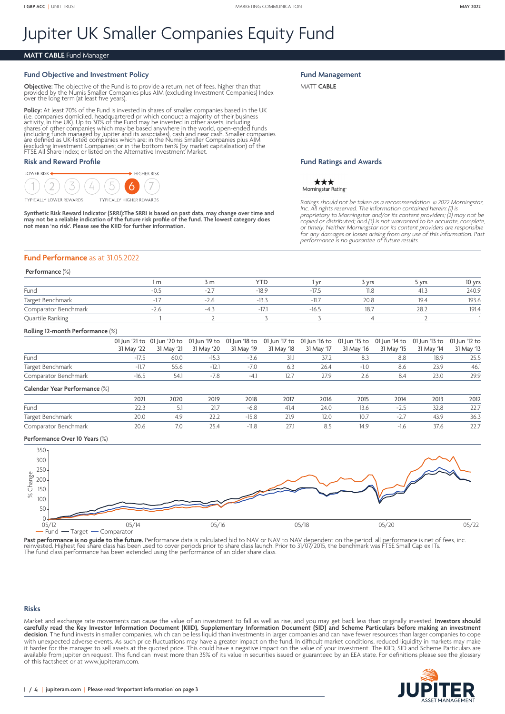# Jupiter UK Smaller Companies Equity Fund

# **MATT CABLE** Fund Manager

#### **Fund Objective and Investment Policy**

**Objective:** The objective of the Fund is to provide a return, net of fees, higher than that provided by the Numis Smaller Companies plus AIM (excluding Investment Companies) Index provided by the Numis Sinaner Component for the long term (at least five years).

**Policy:** At least 70% of the Fund is invested in shares of smaller companies based in the UK<br>(i.e. companies domiciled, headquartered or which conduct a majority of their business<br>activity, in the UK). Up to 30% of the Fu (including funds managed by Jupiter and its associates), cash and near cash. Smaller companies<br>are defined as UK-listed companies which are: in the Numis Smaller Companies plus AIM<br>(excluding Investment Companies; or in th FTSE All Share Index; or listed on the Alternative Investment Market.

## **Risk and Reward Profile**

LOWER BISK  $\rightarrow$  HIGHER RISK  $\overline{2}$ 7 Ô GHER REWARDS

Synthetic Risk Reward Indicator (SRRI):The SRRI is based on past data, may change over time and<br>may not be a reliable indication of the future risk profile of the fund. The lowest category does<br>not mean 'no risk'. Please s

**Fund Management**

MATT **CABLE**

#### **Fund Ratings and Awards**

\*\*\* Morningstar Rating

*Ratings should not be taken as a recommendation.* © *2022 Morningstar, Inc. All rights reserved. The information contained herein: (1) is proprietary to Morningstar and/or its content providers; (2) may not be copied or distributed; and (3) is not warranted to be accurate, complete, or timely. Neither Morningstar nor its content providers are responsible for any damages or losses arising from any use of this information. Past performance is no guarantee of future results.*

#### **Fund Performance** as at 31.05.2022

## **Performance** (%)

|                      | . m   | <b>YTD</b> | V       | <b>Vrs</b> | <b>vrs</b> | 10 yrs |
|----------------------|-------|------------|---------|------------|------------|--------|
| Fund                 | $-27$ | $-18.9$    | 17      | 11.8       | -41.J      | 240.9  |
| Target Benchmark     | -2.6  |            | $-11.7$ | 20.8       | 19.4       | 193.6  |
| Comparator Benchmark | $-4$  | - 1 -      | -16.5   | 18.7       | 28.2       | 191.4  |
| Quartile Ranking     |       |            |         |            |            |        |

#### **Rolling 12-month Performance** (%)

|                                   |            |      |         |        |      | 31 May '17 | 31 May '16 | 31 May '15 | 01 Jun '21 to 01 Jun '20 to 01 Jun '19 to 01 Jun '18 to 01 Jun '17 to 01 Jun '16 to 01 Jun '15 to 01 Jun '14 to 01 Jun '13 to 01 Jun '12 to<br>31 May '14 | 31 May '13 |
|-----------------------------------|------------|------|---------|--------|------|------------|------------|------------|-----------------------------------------------------------------------------------------------------------------------------------------------------------|------------|
|                                   | 31 May '22 |      |         |        |      |            |            |            |                                                                                                                                                           |            |
| Fund                              | $-17.5$    | 60.0 | $-15.3$ | $-3.6$ | 31.1 | 37.2       |            | 8.8        | 18.9                                                                                                                                                      | 25.5       |
| Target Benchmark                  | $-11.7$    | 55.6 | $-12.1$ | $-7.0$ | 6.3  | 26.4       | $-1.0$     | 8.6        | 23.9                                                                                                                                                      | 46.1       |
| Comparator Benchmark              | $-16.5$    | 54.1 | $-7.8$  | $-4.1$ | 12.7 | 27.9       | 2.6        | 8.4        | 23.0                                                                                                                                                      | 29.9       |
| $C2$ and $C2$ Very Boundary (8/1) |            |      |         |        |      |            |            |            |                                                                                                                                                           |            |

Comparator Benchmark 20.6 7.0 25.4 -11.8 27.1 8.5 14.9 -1.6 37.6 22.7

# **Calendar Year Performance** (%) 2021 2020 2019 2018 2017 2016 2015 2014 2013 2012 Fund 22.3 5.1 21.7 -6.8 41.4 24.0 13.6 -2.5 32.8 22.7 Target Benchmark 20.0 4.9 22.2 -15.8 21.9 12.0 10.7 -2.7 43.9 36.3

## **Performance Over 10 Years** (%)



Past performance is no guide to the future. Performance data is calculated bid to NAV or NAV to NAV dependent on the period, all performance is net of fees, inc.<br>Teinvested, Highest fee share class has been used to cover p The fund class performance has been extended using the performance of an older share class.

#### **Risks**

Market and exchange rate movements can cause the value of an investment to fall as well as rise, and you may get back less than originally invested. **Investors should**  carefully read the Key Investor Information Document (KIID), Supplementary Information Document (SID) and Scheme Particulars before making an investment **decision**. The fund invests in smaller companies, which can be less liquid than investments in larger companies and can have fewer resources than larger companies to cope with unexpected adverse events. As such price fluctuations may have a greater impact on the fund. In difficult market conditions, reduced liquidity in markets may make it harder for the manager to sell assets at the quoted price. This could have a negative impact on the value of your investment. The KIID, SID and Scheme Particulars are available from Jupiter on request. This fund can invest more than 35% of its value in securities issued or guaranteed by an EEA state. For definitions please see the glossary of this factsheet or at [www.jupiteram.com.](www.jupiteram.com)

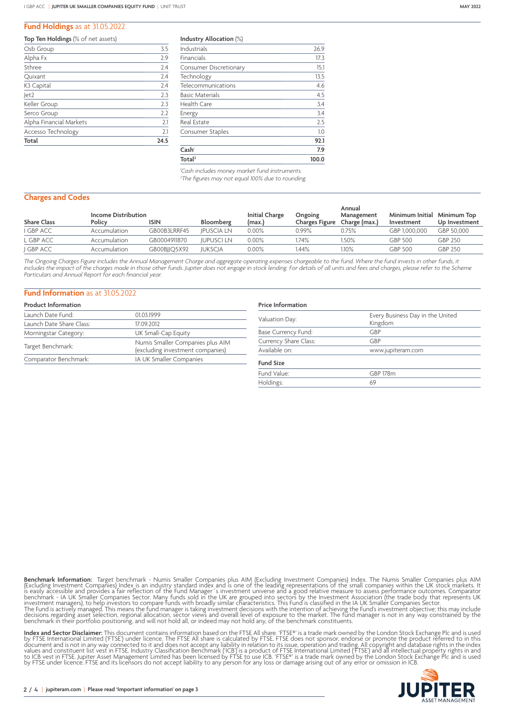## **Fund Holdings** as at 31.05.2022

#### **Top Ten Holdings** (% of net assets)

| Osb Group               | 3.5  |
|-------------------------|------|
| Alpha Fx                | 2.9  |
| Sthree                  | 2.4  |
| Quixant                 | 2.4  |
| K <sub>3</sub> Capital  | 2.4  |
| Jet2                    | 2.3  |
| Keller Group            | 2.3  |
| Serco Group             | 2.2  |
| Alpha Financial Markets | 2.1  |
| Accesso Technology      | 2.1  |
| Total                   | 24.5 |

|  | Industry Allocation (%) |  |
|--|-------------------------|--|
|--|-------------------------|--|

| Total <sup>2</sup>            | 100.0 |
|-------------------------------|-------|
| Cash                          | 7.9   |
|                               | 92.1  |
| Consumer Staples              | 1.0   |
| <b>Real Estate</b>            | 2.5   |
| Energy                        | 3.4   |
| Health Care                   | 3.4   |
| <b>Basic Materials</b>        | 4.5   |
| Telecommunications            | 4.6   |
| Technology                    | 13.5  |
| <b>Consumer Discretionary</b> | 15.1  |
| Financials                    | 17.3  |
| Industrials                   | 26.9  |

*1 Cash includes money market fund instruments. 2 The figures may not equal 100% due to rounding.*

### **Charges and Codes**

|                    | <b>Income Distribution</b> |              |                   | <b>Initial Charge</b> | Ongoing        | Annual<br>Management | Minimum Initial | Minimum Top   |
|--------------------|----------------------------|--------------|-------------------|-----------------------|----------------|----------------------|-----------------|---------------|
| <b>Share Class</b> | Policy                     | ISIN         | <b>Bloomberg</b>  | (max.)                | Charges Figure | Charge (max.)        | Investment      | Up Investment |
| I GBP ACC          | Accumulation               | GB00B3LRRF45 | <b>IPUSCIA LN</b> | $0.00\%$              | 0.99%          | 0.75%                | GBP 1.000.000   | GBP 50.000    |
| L GBP ACC          | Accumulation               | GB0004911870 | <b>JUPUSCI LN</b> | $0.00\%$              | .74%           | 1.50%                | GBP 500         | GBP 250       |
| J GBP ACC          | Accumulation               | GB00BJJQ5X92 | <b>JUKSCIA</b>    | $0.00\%$              | .44%           | 1.10%                | GBP 500         | GBP 250       |

The Ongoing Charges Figure includes the Annual Management Charge and aggregate operating expenses chargeable to the fund. Where the fund invests in other funds, it *includes the impact of the charges made in those other funds. Jupiter does not engage in stock lending. For details of all units and fees and charges, please refer to the Scheme Particulars and Annual Report for each financial year.*

# **Fund Information** as at 31.05.2022

| <b>Product Information</b> |                                                                      |
|----------------------------|----------------------------------------------------------------------|
| Launch Date Fund:          | 01.03.1999                                                           |
| Launch Date Share Class:   | 17.09.2012                                                           |
| Morningstar Category:      | UK Small-Cap Equity                                                  |
| Target Benchmark:          | Numis Smaller Companies plus AIM<br>(excluding investment companies) |
| Comparator Benchmark:      | IA UK Smaller Companies                                              |

# **Price Information**

| Every Business Day in the United<br>Kingdom |  |  |  |
|---------------------------------------------|--|--|--|
| GBP                                         |  |  |  |
| GBP                                         |  |  |  |
| www.jupiteram.com                           |  |  |  |
|                                             |  |  |  |
| <b>GBP 178m</b>                             |  |  |  |
| 69                                          |  |  |  |
|                                             |  |  |  |

**Benchmark Information:** Target benchmark - Numis Smaller Companies plus AIM (Excluding Investment Companies) Index. The Numis Smaller Companies plus AIM (Excluding Investment Companies) Index. The Numis Smaller Companies

**Index and Sector Disclaimer:** This document contains information based on the FTSE All share. 'FTSE®' is a trade mark owned by the London Stock Exchange Plc and is used<br>by FTSE International Limited ('FTSE') under licence by FTSE under licence. FTSE and its licensors do not accept liability to any person for any loss or damage arising out of any error or omission in ICB.

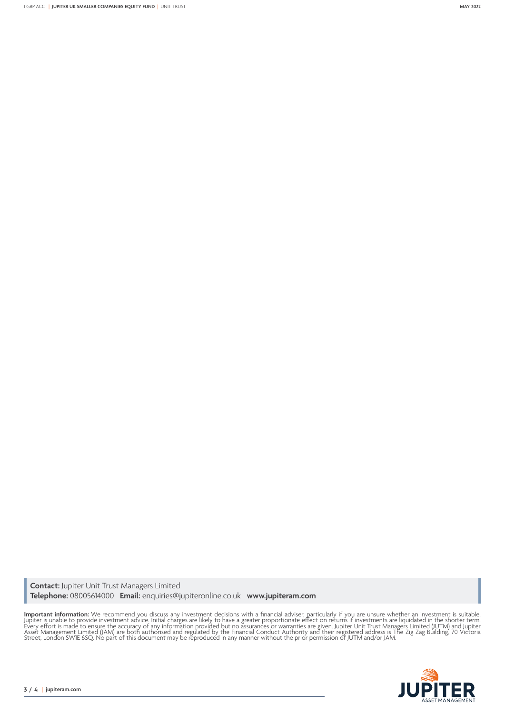**Contact:** Jupiter Unit Trust Managers Limited **Telephone:** 08005614000 **Email:** enquiries@jupiteronline.co.uk **www.jupiteram.com**

**Important information:** We recommend you discuss any investment decisions with a financial adviser, particularly if you are unsure whether an investment is suitable.<br>Jupiter is unable to provide investment advice. Initial